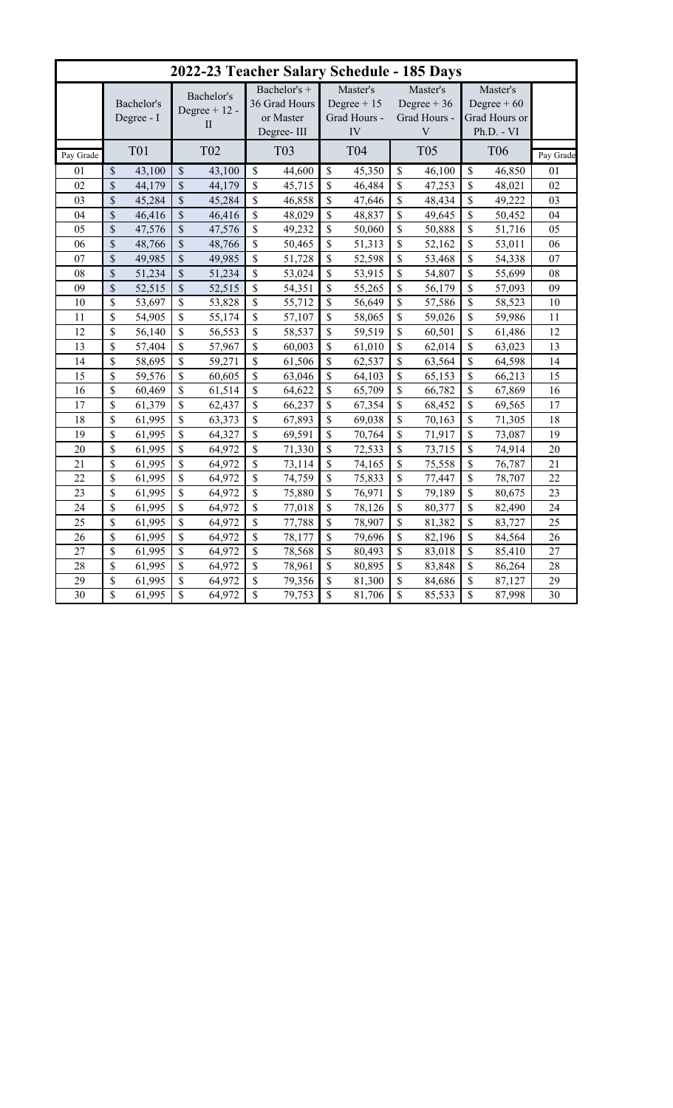|           |                          |            |                                   |                 |                                            |        | 2022-23 Teacher Salary Schedule - 185 Days |        |                                          |                     |                                           |        |           |  |
|-----------|--------------------------|------------|-----------------------------------|-----------------|--------------------------------------------|--------|--------------------------------------------|--------|------------------------------------------|---------------------|-------------------------------------------|--------|-----------|--|
|           | Bachelor's<br>Degree - I |            | Bachelor's<br>Degree $+12$ -<br>П |                 | Bachelor's +<br>36 Grad Hours<br>or Master |        | Master's<br>Degree $+15$<br>Grad Hours -   |        | Master's<br>Degree $+36$<br>Grad Hours - |                     | Master's<br>Degree $+60$<br>Grad Hours or |        |           |  |
| Pay Grade |                          | <b>T01</b> |                                   | T <sub>02</sub> | Degree-III<br><b>T03</b>                   |        | IV<br>T04                                  |        | $\ensuremath{\mathbf{V}}$<br><b>T05</b>  |                     | Ph.D. - VI<br><b>T06</b>                  |        | Pay Grade |  |
| 01        | \$                       | 43,100     | \$                                | 43,100          | $\mathcal{S}$                              | 44,600 | \$                                         | 45,350 | \$                                       | $\overline{46,100}$ | \$                                        | 46,850 | 01        |  |
| 02        | $\mathbf{\hat{S}}$       | 44,179     | $\mathbb{S}$                      | 44,179          | \$                                         | 45,715 | $\mathcal{S}$                              | 46,484 | \$                                       | 47,253              | \$                                        | 48,021 | 02        |  |
| 03        | \$                       | 45,284     | \$                                | 45,284          | \$                                         | 46,858 | \$                                         | 47,646 | \$                                       | 48,434              | \$                                        | 49,222 | 03        |  |
| 04        | \$                       | 46,416     | \$                                | 46,416          | \$                                         | 48,029 | \$                                         | 48,837 | \$                                       | 49,645              | \$                                        | 50,452 | 04        |  |
| 05        | \$                       | 47,576     | \$                                | 47,576          | \$                                         | 49,232 | \$                                         | 50,060 | \$                                       | 50,888              | \$                                        | 51,716 | 05        |  |
| 06        | \$                       | 48,766     | \$                                | 48,766          | \$                                         | 50,465 | \$                                         | 51,313 | \$                                       | 52,162              | \$                                        | 53,011 | 06        |  |
| 07        | $\mathbf{\hat{S}}$       | 49,985     | $\mathbf{\hat{S}}$                | 49,985          | \$                                         | 51,728 | \$                                         | 52,598 | \$                                       | 53,468              | \$                                        | 54,338 | 07        |  |
| 08        | \$                       | 51,234     | \$                                | 51,234          | \$                                         | 53,024 | \$                                         | 53,915 | \$                                       | 54,807              | \$                                        | 55,699 | 08        |  |
| 09        | $\overline{\mathbb{S}}$  | 52,515     | $\mathbf{\hat{S}}$                | 52,515          | \$                                         | 54,351 | $\mathbf S$                                | 55,265 | \$                                       | 56,179              | $\mathbf S$                               | 57,093 | 09        |  |
| 10        | \$                       | 53,697     | \$                                | 53,828          | \$                                         | 55,712 | $\boldsymbol{\hat{\mathsf{S}}}$            | 56,649 | \$                                       | 57,586              | \$                                        | 58,523 | 10        |  |
| 11        | \$                       | 54,905     | \$                                | 55,174          | \$                                         | 57,107 | \$                                         | 58,065 | \$                                       | 59,026              | \$                                        | 59,986 | 11        |  |
| 12        | \$                       | 56,140     | \$                                | 56,553          | \$                                         | 58,537 | \$                                         | 59,519 | \$                                       | 60,501              | \$                                        | 61,486 | 12        |  |
| 13        | \$                       | 57,404     | \$                                | 57,967          | \$                                         | 60,003 | \$                                         | 61,010 | \$                                       | 62,014              | \$                                        | 63,023 | 13        |  |
| 14        | \$                       | 58,695     | \$                                | 59,271          | \$                                         | 61,506 | \$                                         | 62,537 | \$                                       | 63,564              | $\mathbf S$                               | 64,598 | 14        |  |
| 15        | \$                       | 59,576     | \$                                | 60,605          | \$                                         | 63,046 | \$                                         | 64,103 | \$                                       | 65,153              | \$                                        | 66,213 | 15        |  |
| 16        | \$                       | 60,469     | \$                                | 61,514          | \$                                         | 64,622 | $\mathcal{S}$                              | 65,709 | \$                                       | 66,782              | \$                                        | 67,869 | 16        |  |
| 17        | \$                       | 61,379     | \$                                | 62,437          | \$                                         | 66,237 | \$                                         | 67,354 | \$                                       | 68,452              | \$                                        | 69,565 | 17        |  |
| 18        | \$                       | 61,995     | \$                                | 63,373          | $\mathbf{\hat{S}}$                         | 67,893 | \$                                         | 69,038 | \$                                       | 70,163              | \$                                        | 71,305 | 18        |  |
| 19        | \$                       | 61,995     | \$                                | 64,327          | \$                                         | 69,591 | \$                                         | 70,764 | \$                                       | 71,917              | \$                                        | 73,087 | 19        |  |
| 20        | \$                       | 61,995     | \$                                | 64,972          | \$                                         | 71,330 | \$                                         | 72,533 | \$                                       | 73,715              | \$                                        | 74,914 | 20        |  |
| 21        | \$                       | 61,995     | \$                                | 64,972          | \$                                         | 73,114 | \$                                         | 74,165 | \$                                       | 75,558              | \$                                        | 76,787 | 21        |  |
| 22        | \$                       | 61,995     | \$                                | 64,972          | \$                                         | 74,759 | $\boldsymbol{\hat{\mathsf{S}}}$            | 75,833 | \$                                       | 77,447              | \$                                        | 78,707 | 22        |  |
| 23        | \$                       | 61,995     | \$                                | 64,972          | \$                                         | 75,880 | \$                                         | 76,971 | \$                                       | 79,189              | \$                                        | 80,675 | 23        |  |
| 24        | \$                       | 61,995     | \$                                | 64,972          | \$                                         | 77,018 | \$                                         | 78,126 | \$                                       | 80,377              | \$                                        | 82,490 | 24        |  |
| 25        | \$                       | 61,995     | \$                                | 64,972          | \$                                         | 77,788 | \$                                         | 78,907 | \$                                       | 81,382              | \$                                        | 83,727 | 25        |  |
| 26        | \$                       | 61,995     | \$                                | 64,972          | \$                                         | 78,177 | \$                                         | 79,696 | \$                                       | 82,196              | S                                         | 84,564 | 26        |  |
| 27        | \$                       | 61,995     | \$                                | 64,972          | \$                                         | 78,568 | \$                                         | 80,493 | \$                                       | 83,018              | \$                                        | 85,410 | 27        |  |
| 28        | \$                       | 61,995     | \$                                | 64,972          | $\mathbb{S}$                               | 78,961 | \$                                         | 80,895 | \$                                       | 83,848              | \$                                        | 86,264 | 28        |  |
| 29        | \$                       | 61,995     | \$                                | 64,972          | \$                                         | 79,356 | \$                                         | 81,300 | \$                                       | 84,686              | \$                                        | 87,127 | 29        |  |
| 30        | \$                       | 61,995     | \$                                | 64,972          | \$                                         | 79,753 | \$                                         | 81,706 | \$                                       | 85,533              | \$                                        | 87,998 | 30        |  |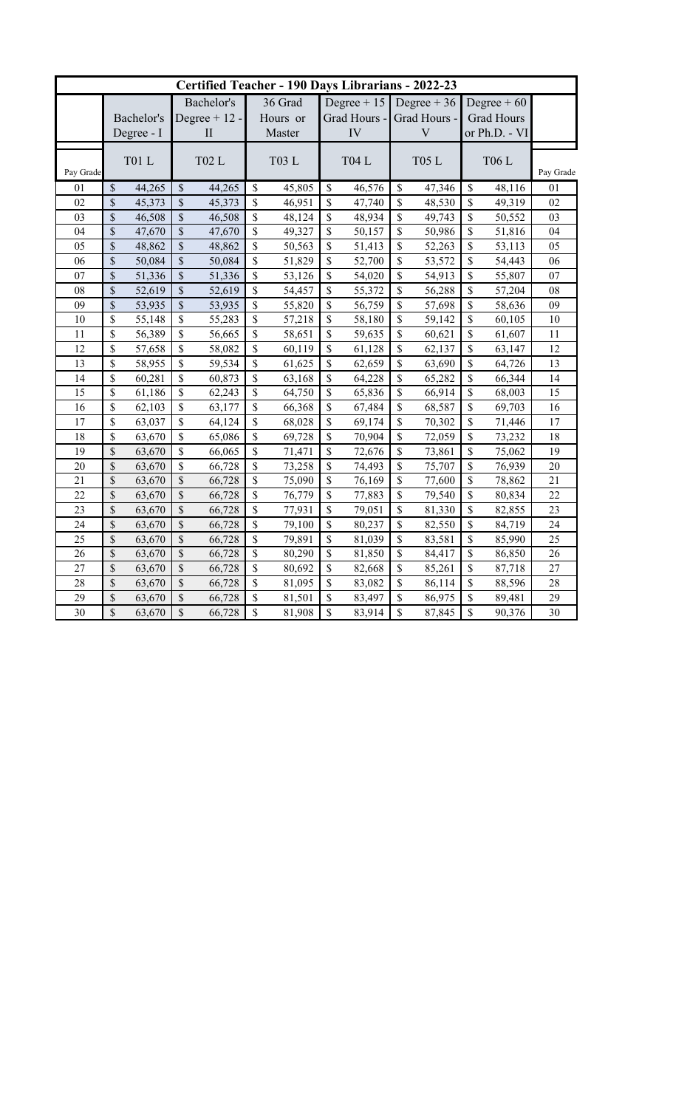| Certified Teacher - 190 Days Librarians - 2022-23 |                           |        |                           |                   |               |        |                    |                |               |               |                    |              |           |
|---------------------------------------------------|---------------------------|--------|---------------------------|-------------------|---------------|--------|--------------------|----------------|---------------|---------------|--------------------|--------------|-----------|
|                                                   |                           |        | Bachelor's                |                   | 36 Grad       |        | Degree $+15$       |                | Degree $+36$  |               |                    | Degree $+60$ |           |
|                                                   | Bachelor's                |        |                           | Degree $+12$ -    | Hours or      |        | Grad Hours -       |                | Grad Hours -  |               | <b>Grad Hours</b>  |              |           |
|                                                   | Degree - I                |        |                           | $\prod$<br>Master |               | IV     |                    | $\overline{V}$ |               | or Ph.D. - VI |                    |              |           |
|                                                   |                           |        |                           |                   |               |        |                    |                |               |               |                    |              |           |
| Pay Grade                                         | <b>T01 L</b>              |        | <b>T02L</b>               |                   | <b>T03 L</b>  |        | <b>T04 L</b>       |                | <b>T05 L</b>  |               | <b>T06 L</b>       |              | Pay Grade |
| 01                                                | \$                        | 44,265 | $\boldsymbol{\mathsf{S}}$ | 44,265            | $\mathcal{S}$ | 45,805 | $\mathcal{S}$      | 46,576         | $\mathcal{S}$ | 47,346        | $\mathbb{S}$       | 48,116       | 01        |
| 02                                                | $\overline{\mathcal{S}}$  | 45,373 | $\mathcal{S}$             | 45,373            | \$            | 46,951 | $\mathbf S$        | 47,740         | \$            | 48,530        | $\mathbb{S}$       | 49,319       | 02        |
| 03                                                | \$                        | 46,508 | $\boldsymbol{\mathsf{S}}$ | 46,508            | $\mathbb{S}$  | 48,124 | \$                 | 48,934         | $\mathcal{S}$ | 49,743        | $\mathbb{S}$       | 50,552       | 03        |
| 04                                                | $\overline{\mathbb{S}}$   | 47,670 | \$                        | 47,670            | $\mathsf{\$}$ | 49,327 | \$                 | 50,157         | \$            | 50,986        | \$                 | 51,816       | 04        |
| 05                                                | \$                        | 48,862 | \$                        | 48,862            | $\mathbf S$   | 50,563 | \$                 | 51,413         | \$            | 52,263        | \$                 | 53,113       | 05        |
| 06                                                | $\boldsymbol{\mathsf{S}}$ | 50,084 | \$                        | 50,084            | $\mathsf{\$}$ | 51,829 | \$                 | 52,700         | \$            | 53,572        | \$                 | 54,443       | 06        |
| 07                                                | $\sqrt{\frac{2}{\pi}}$    | 51,336 | \$                        | 51,336            | $\mathbf S$   | 53,126 | \$                 | 54,020         | \$            | 54,913        | \$                 | 55,807       | 07        |
| 08                                                | $\boldsymbol{\mathsf{S}}$ | 52,619 | \$                        | 52,619            | $\mathbb S$   | 54,457 | $\mathbf{\hat{S}}$ | 55,372         | \$            | 56,288        | \$                 | 57,204       | 08        |
| 09                                                | $\overline{\$}$           | 53,935 | \$                        | 53,935            | \$            | 55,820 | \$                 | 56,759         | \$            | 57,698        | \$                 | 58,636       | 09        |
| 10                                                | \$                        | 55,148 | \$                        | 55,283            | $\mathsf{\$}$ | 57,218 | \$                 | 58,180         | \$            | 59,142        | \$                 | 60,105       | 10        |
| 11                                                | \$                        | 56,389 | \$                        | 56,665            | \$            | 58,651 | \$                 | 59,635         | $\mathbf S$   | 60,621        | $\mathbf{\hat{S}}$ | 61,607       | 11        |
| 12                                                | \$                        | 57,658 | \$                        | 58,082            | $\mathsf{\$}$ | 60,119 | $\mathbf{\hat{S}}$ | 61,128         | \$            | 62,137        | \$                 | 63,147       | 12        |
| 13                                                | \$                        | 58,955 | \$                        | 59,534            | \$            | 61,625 | $\mathcal{S}$      | 62,659         | $\mathcal{S}$ | 63,690        | \$                 | 64,726       | 13        |
| 14                                                | \$                        | 60,281 | \$                        | 60,873            | $\mathbf S$   | 63,168 | \$                 | 64,228         | \$            | 65,282        | \$                 | 66,344       | 14        |
| 15                                                | \$                        | 61,186 | $\mathbb S$               | 62,243            | $\mathsf{\$}$ | 64,750 | \$                 | 65,836         | \$            | 66,914        | \$                 | 68,003       | 15        |
| 16                                                | \$                        | 62,103 | \$                        | 63,177            | $\mathbf S$   | 66,368 | \$                 | 67,484         | \$            | 68,587        | \$                 | 69,703       | 16        |
| 17                                                | \$                        | 63,037 | \$                        | 64,124            | $\mathbf S$   | 68,028 | \$                 | 69,174         | \$            | 70,302        | \$                 | 71,446       | 17        |
| 18                                                | \$                        | 63,670 | \$                        | 65,086            | $\mathsf{\$}$ | 69,728 | \$                 | 70,904         | \$            | 72,059        | \$                 | 73,232       | 18        |
| 19                                                | \$                        | 63,670 | \$                        | 66,065            | $\mathbf S$   | 71,471 | \$                 | 72,676         | \$            | 73,861        | \$                 | 75,062       | 19        |
| 20                                                | \$                        | 63,670 | $\mathbb S$               | 66,728            | $\sqrt{\ }$   | 73,258 | \$                 | 74,493         | \$            | 75,707        | \$                 | 76,939       | 20        |
| 21                                                | \$                        | 63,670 | \$                        | 66,728            | $\mathbf S$   | 75,090 | \$                 | 76,169         | \$            | 77,600        | \$                 | 78,862       | 21        |
| 22                                                | \$                        | 63,670 | \$                        | 66,728            | $\mathbb S$   | 76,779 | \$                 | 77,883         | \$            | 79,540        | \$                 | 80,834       | 22        |
| 23                                                | \$                        | 63,670 | \$                        | 66,728            | $\mathsf{\$}$ | 77,931 | \$                 | 79,051         | \$            | 81,330        | \$                 | 82,855       | 23        |
| 24                                                | \$                        | 63,670 | \$                        | 66,728            | $\mathbb S$   | 79,100 | \$                 | 80,237         | \$            | 82,550        | \$                 | 84,719       | 24        |
| 25                                                | \$                        | 63,670 | \$                        | 66,728            | $\mathsf{\$}$ | 79,891 | \$                 | 81,039         | \$            | 83,581        | \$                 | 85,990       | 25        |
| 26                                                | \$                        | 63,670 | \$                        | 66,728            | $\mathbb S$   | 80,290 | \$                 | 81,850         | \$            | 84,417        | \$                 | 86,850       | 26        |
| 27                                                | \$                        | 63,670 | \$                        | 66,728            | $\mathsf{\$}$ | 80,692 | \$                 | 82,668         | \$            | 85,261        | \$                 | 87,718       | 27        |
| 28                                                | \$                        | 63,670 | $\mathbb S$               | 66,728            | $\mathsf{\$}$ | 81,095 | \$                 | 83,082         | \$            | 86,114        | \$                 | 88,596       | 28        |
| 29                                                | \$                        | 63,670 | \$                        | 66,728            | $\mathbb S$   | 81,501 | \$                 | 83,497         | \$            | 86,975        | \$                 | 89,481       | 29        |
| 30                                                | \$                        | 63,670 | $\mathbb{S}$              | 66,728            | $\mathsf{\$}$ | 81,908 | $\mathbf{\hat{S}}$ | 83,914         | \$            | 87,845        | \$                 | 90,376       | 30        |